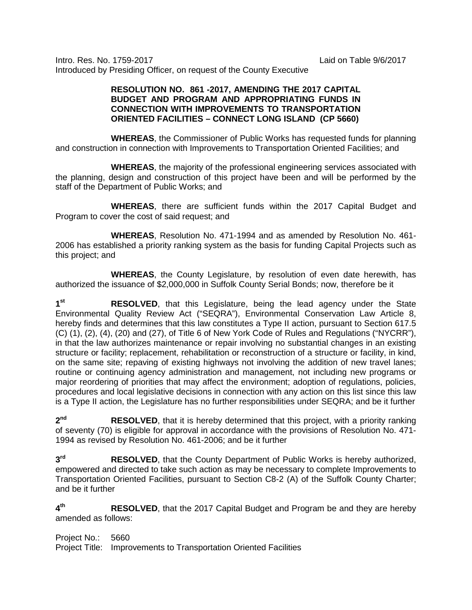Intro. Res. No. 1759-2017 Laid on Table 9/6/2017 Introduced by Presiding Officer, on request of the County Executive

## **RESOLUTION NO. 861 -2017, AMENDING THE 2017 CAPITAL BUDGET AND PROGRAM AND APPROPRIATING FUNDS IN CONNECTION WITH IMPROVEMENTS TO TRANSPORTATION ORIENTED FACILITIES – CONNECT LONG ISLAND (CP 5660)**

**WHEREAS**, the Commissioner of Public Works has requested funds for planning and construction in connection with Improvements to Transportation Oriented Facilities; and

**WHEREAS**, the majority of the professional engineering services associated with the planning, design and construction of this project have been and will be performed by the staff of the Department of Public Works; and

**WHEREAS**, there are sufficient funds within the 2017 Capital Budget and Program to cover the cost of said request; and

**WHEREAS**, Resolution No. 471-1994 and as amended by Resolution No. 461- 2006 has established a priority ranking system as the basis for funding Capital Projects such as this project; and

**WHEREAS**, the County Legislature, by resolution of even date herewith, has authorized the issuance of \$2,000,000 in Suffolk County Serial Bonds; now, therefore be it

1<sup>st</sup> RESOLVED, that this Legislature, being the lead agency under the State Environmental Quality Review Act ("SEQRA"), Environmental Conservation Law Article 8, hereby finds and determines that this law constitutes a Type II action, pursuant to Section 617.5 (C) (1), (2), (4), (20) and (27), of Title 6 of New York Code of Rules and Regulations ("NYCRR"), in that the law authorizes maintenance or repair involving no substantial changes in an existing structure or facility; replacement, rehabilitation or reconstruction of a structure or facility, in kind, on the same site; repaving of existing highways not involving the addition of new travel lanes; routine or continuing agency administration and management, not including new programs or major reordering of priorities that may affect the environment; adoption of regulations, policies, procedures and local legislative decisions in connection with any action on this list since this law is a Type II action, the Legislature has no further responsibilities under SEQRA; and be it further

2<sup>nd</sup> RESOLVED, that it is hereby determined that this project, with a priority ranking of seventy (70) is eligible for approval in accordance with the provisions of Resolution No. 471- 1994 as revised by Resolution No. 461-2006; and be it further

**3<sup>rd</sup> RESOLVED**, that the County Department of Public Works is hereby authorized, empowered and directed to take such action as may be necessary to complete Improvements to Transportation Oriented Facilities, pursuant to Section C8-2 (A) of the Suffolk County Charter; and be it further

**4th RESOLVED**, that the 2017 Capital Budget and Program be and they are hereby amended as follows:

Project No.: 5660

Project Title: Improvements to Transportation Oriented Facilities